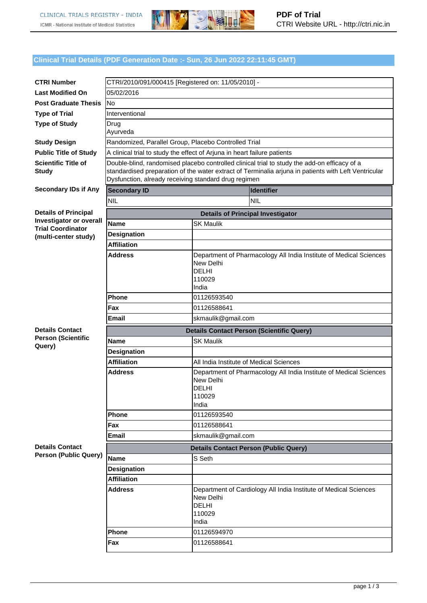

## **Clinical Trial Details (PDF Generation Date :- Sun, 26 Jun 2022 22:11:45 GMT)**

| <b>CTRI Number</b>                                  |                                                                                                                                                                                                                                                              |                                                                                                                                                               |  |  |  |  |
|-----------------------------------------------------|--------------------------------------------------------------------------------------------------------------------------------------------------------------------------------------------------------------------------------------------------------------|---------------------------------------------------------------------------------------------------------------------------------------------------------------|--|--|--|--|
| <b>Last Modified On</b>                             | CTRI/2010/091/000415 [Registered on: 11/05/2010] -<br>05/02/2016                                                                                                                                                                                             |                                                                                                                                                               |  |  |  |  |
| <b>Post Graduate Thesis</b>                         | lNo                                                                                                                                                                                                                                                          |                                                                                                                                                               |  |  |  |  |
| <b>Type of Trial</b>                                | Interventional                                                                                                                                                                                                                                               |                                                                                                                                                               |  |  |  |  |
| <b>Type of Study</b>                                | Drug                                                                                                                                                                                                                                                         |                                                                                                                                                               |  |  |  |  |
|                                                     | Ayurveda                                                                                                                                                                                                                                                     |                                                                                                                                                               |  |  |  |  |
| <b>Study Design</b>                                 | Randomized, Parallel Group, Placebo Controlled Trial                                                                                                                                                                                                         |                                                                                                                                                               |  |  |  |  |
| <b>Public Title of Study</b>                        | A clinical trial to study the effect of Arjuna in heart failure patients                                                                                                                                                                                     |                                                                                                                                                               |  |  |  |  |
| <b>Scientific Title of</b><br><b>Study</b>          | Double-blind, randomised placebo controlled clinical trial to study the add-on efficacy of a<br>standardised preparation of the water extract of Terminalia arjuna in patients with Left Ventricular<br>Dysfunction, already receiving standard drug regimen |                                                                                                                                                               |  |  |  |  |
| <b>Secondary IDs if Any</b>                         | <b>Secondary ID</b><br><b>Identifier</b>                                                                                                                                                                                                                     |                                                                                                                                                               |  |  |  |  |
|                                                     | <b>NIL</b><br><b>NIL</b>                                                                                                                                                                                                                                     |                                                                                                                                                               |  |  |  |  |
| <b>Details of Principal</b>                         |                                                                                                                                                                                                                                                              | <b>Details of Principal Investigator</b>                                                                                                                      |  |  |  |  |
| Investigator or overall<br><b>Trial Coordinator</b> | <b>Name</b>                                                                                                                                                                                                                                                  | <b>SK Maulik</b>                                                                                                                                              |  |  |  |  |
| (multi-center study)                                | <b>Designation</b>                                                                                                                                                                                                                                           |                                                                                                                                                               |  |  |  |  |
|                                                     | <b>Affiliation</b>                                                                                                                                                                                                                                           |                                                                                                                                                               |  |  |  |  |
|                                                     | <b>Address</b>                                                                                                                                                                                                                                               | Department of Pharmacology All India Institute of Medical Sciences<br>New Delhi<br><b>DELHI</b><br>110029<br>India                                            |  |  |  |  |
|                                                     | Phone                                                                                                                                                                                                                                                        | 01126593540                                                                                                                                                   |  |  |  |  |
|                                                     | Fax                                                                                                                                                                                                                                                          | 01126588641                                                                                                                                                   |  |  |  |  |
|                                                     | <b>Email</b>                                                                                                                                                                                                                                                 | skmaulik@gmail.com                                                                                                                                            |  |  |  |  |
|                                                     |                                                                                                                                                                                                                                                              |                                                                                                                                                               |  |  |  |  |
|                                                     |                                                                                                                                                                                                                                                              |                                                                                                                                                               |  |  |  |  |
| <b>Details Contact</b><br><b>Person (Scientific</b> |                                                                                                                                                                                                                                                              | <b>Details Contact Person (Scientific Query)</b>                                                                                                              |  |  |  |  |
| Query)                                              | Name                                                                                                                                                                                                                                                         | <b>SK Maulik</b>                                                                                                                                              |  |  |  |  |
|                                                     | <b>Designation</b>                                                                                                                                                                                                                                           |                                                                                                                                                               |  |  |  |  |
|                                                     | <b>Affiliation</b><br><b>Address</b>                                                                                                                                                                                                                         | All India Institute of Medical Sciences<br>Department of Pharmacology All India Institute of Medical Sciences<br>New Delhi<br><b>DELHI</b><br>110029<br>India |  |  |  |  |
|                                                     | Phone                                                                                                                                                                                                                                                        | 01126593540                                                                                                                                                   |  |  |  |  |
|                                                     | Fax                                                                                                                                                                                                                                                          | 01126588641                                                                                                                                                   |  |  |  |  |
|                                                     | <b>Email</b>                                                                                                                                                                                                                                                 | skmaulik@gmail.com                                                                                                                                            |  |  |  |  |
| <b>Details Contact</b>                              |                                                                                                                                                                                                                                                              | <b>Details Contact Person (Public Query)</b>                                                                                                                  |  |  |  |  |
| <b>Person (Public Query)</b>                        | <b>Name</b>                                                                                                                                                                                                                                                  | S Seth                                                                                                                                                        |  |  |  |  |
|                                                     | <b>Designation</b>                                                                                                                                                                                                                                           |                                                                                                                                                               |  |  |  |  |
|                                                     | <b>Affiliation</b>                                                                                                                                                                                                                                           |                                                                                                                                                               |  |  |  |  |
|                                                     | <b>Address</b>                                                                                                                                                                                                                                               | Department of Cardiology All India Institute of Medical Sciences<br>New Delhi<br><b>DELHI</b><br>110029<br>India                                              |  |  |  |  |
|                                                     | Phone<br>Fax                                                                                                                                                                                                                                                 | 01126594970<br>01126588641                                                                                                                                    |  |  |  |  |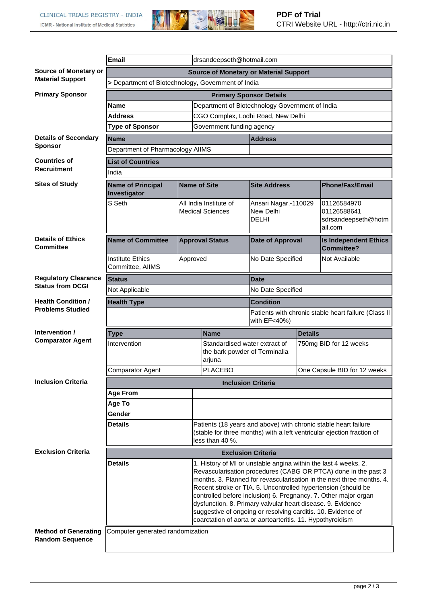

|                                                       | <b>Email</b><br>drsandeepseth@hotmail.com                                                                                                                                                                                                                                                                                                                                                                                                                                                                                                                     |                                                                          |                                                                          |                                                                                                                                           |                                                                      |                                                               |  |  |
|-------------------------------------------------------|---------------------------------------------------------------------------------------------------------------------------------------------------------------------------------------------------------------------------------------------------------------------------------------------------------------------------------------------------------------------------------------------------------------------------------------------------------------------------------------------------------------------------------------------------------------|--------------------------------------------------------------------------|--------------------------------------------------------------------------|-------------------------------------------------------------------------------------------------------------------------------------------|----------------------------------------------------------------------|---------------------------------------------------------------|--|--|
| Source of Monetary or                                 | <b>Source of Monetary or Material Support</b>                                                                                                                                                                                                                                                                                                                                                                                                                                                                                                                 |                                                                          |                                                                          |                                                                                                                                           |                                                                      |                                                               |  |  |
| <b>Material Support</b>                               | > Department of Biotechnology, Government of India                                                                                                                                                                                                                                                                                                                                                                                                                                                                                                            |                                                                          |                                                                          |                                                                                                                                           |                                                                      |                                                               |  |  |
| <b>Primary Sponsor</b>                                | <b>Primary Sponsor Details</b>                                                                                                                                                                                                                                                                                                                                                                                                                                                                                                                                |                                                                          |                                                                          |                                                                                                                                           |                                                                      |                                                               |  |  |
|                                                       | Name                                                                                                                                                                                                                                                                                                                                                                                                                                                                                                                                                          |                                                                          | Department of Biotechnology Government of India                          |                                                                                                                                           |                                                                      |                                                               |  |  |
|                                                       | <b>Address</b>                                                                                                                                                                                                                                                                                                                                                                                                                                                                                                                                                |                                                                          |                                                                          | CGO Complex, Lodhi Road, New Delhi                                                                                                        |                                                                      |                                                               |  |  |
|                                                       | <b>Type of Sponsor</b>                                                                                                                                                                                                                                                                                                                                                                                                                                                                                                                                        |                                                                          | Government funding agency                                                |                                                                                                                                           |                                                                      |                                                               |  |  |
| <b>Details of Secondary</b>                           | Name                                                                                                                                                                                                                                                                                                                                                                                                                                                                                                                                                          |                                                                          |                                                                          | <b>Address</b>                                                                                                                            |                                                                      |                                                               |  |  |
| <b>Sponsor</b>                                        | Department of Pharmacology AIIMS                                                                                                                                                                                                                                                                                                                                                                                                                                                                                                                              |                                                                          |                                                                          |                                                                                                                                           |                                                                      |                                                               |  |  |
| <b>Countries of</b>                                   | <b>List of Countries</b>                                                                                                                                                                                                                                                                                                                                                                                                                                                                                                                                      |                                                                          |                                                                          |                                                                                                                                           |                                                                      |                                                               |  |  |
| <b>Recruitment</b>                                    | India                                                                                                                                                                                                                                                                                                                                                                                                                                                                                                                                                         |                                                                          |                                                                          |                                                                                                                                           |                                                                      |                                                               |  |  |
| <b>Sites of Study</b>                                 | <b>Name of Principal</b><br>Investigator                                                                                                                                                                                                                                                                                                                                                                                                                                                                                                                      | <b>Name of Site</b><br>All India Institute of<br><b>Medical Sciences</b> |                                                                          | <b>Site Address</b>                                                                                                                       |                                                                      | <b>Phone/Fax/Email</b>                                        |  |  |
|                                                       | S Seth                                                                                                                                                                                                                                                                                                                                                                                                                                                                                                                                                        |                                                                          |                                                                          | Ansari Nagar,-110029<br>New Delhi<br><b>DELHI</b>                                                                                         |                                                                      | 01126584970<br>01126588641<br>sdrsandeepseth@hotm<br>lail.com |  |  |
| <b>Details of Ethics</b><br><b>Committee</b>          | <b>Name of Committee</b>                                                                                                                                                                                                                                                                                                                                                                                                                                                                                                                                      | <b>Approval Status</b><br>Approved                                       |                                                                          | <b>Date of Approval</b>                                                                                                                   |                                                                      | <b>Is Independent Ethics</b><br><b>Committee?</b>             |  |  |
|                                                       | <b>Institute Ethics</b><br>Committee, AIIMS                                                                                                                                                                                                                                                                                                                                                                                                                                                                                                                   |                                                                          |                                                                          | No Date Specified                                                                                                                         |                                                                      | Not Available                                                 |  |  |
| <b>Regulatory Clearance</b>                           | <b>Status</b>                                                                                                                                                                                                                                                                                                                                                                                                                                                                                                                                                 |                                                                          |                                                                          | <b>Date</b>                                                                                                                               |                                                                      |                                                               |  |  |
| <b>Status from DCGI</b>                               | Not Applicable                                                                                                                                                                                                                                                                                                                                                                                                                                                                                                                                                |                                                                          |                                                                          | No Date Specified                                                                                                                         |                                                                      |                                                               |  |  |
| <b>Health Condition /</b>                             | <b>Health Type</b>                                                                                                                                                                                                                                                                                                                                                                                                                                                                                                                                            |                                                                          |                                                                          | <b>Condition</b>                                                                                                                          |                                                                      |                                                               |  |  |
| <b>Problems Studied</b>                               |                                                                                                                                                                                                                                                                                                                                                                                                                                                                                                                                                               |                                                                          |                                                                          |                                                                                                                                           | Patients with chronic stable heart failure (Class II<br>with EF<40%) |                                                               |  |  |
| Intervention /                                        | <b>Type</b>                                                                                                                                                                                                                                                                                                                                                                                                                                                                                                                                                   |                                                                          | <b>Name</b>                                                              | <b>Details</b>                                                                                                                            |                                                                      |                                                               |  |  |
| <b>Comparator Agent</b>                               | Intervention                                                                                                                                                                                                                                                                                                                                                                                                                                                                                                                                                  |                                                                          | Standardised water extract of<br>the bark powder of Terminalia<br>arjuna |                                                                                                                                           | 750mg BID for 12 weeks                                               |                                                               |  |  |
|                                                       | <b>Comparator Agent</b>                                                                                                                                                                                                                                                                                                                                                                                                                                                                                                                                       |                                                                          | PLACEBO                                                                  |                                                                                                                                           | One Capsule BID for 12 weeks                                         |                                                               |  |  |
| <b>Inclusion Criteria</b>                             |                                                                                                                                                                                                                                                                                                                                                                                                                                                                                                                                                               |                                                                          |                                                                          | <b>Inclusion Criteria</b>                                                                                                                 |                                                                      |                                                               |  |  |
|                                                       | <b>Age From</b>                                                                                                                                                                                                                                                                                                                                                                                                                                                                                                                                               |                                                                          |                                                                          |                                                                                                                                           |                                                                      |                                                               |  |  |
|                                                       | Age To                                                                                                                                                                                                                                                                                                                                                                                                                                                                                                                                                        |                                                                          |                                                                          |                                                                                                                                           |                                                                      |                                                               |  |  |
|                                                       | Gender                                                                                                                                                                                                                                                                                                                                                                                                                                                                                                                                                        |                                                                          |                                                                          |                                                                                                                                           |                                                                      |                                                               |  |  |
|                                                       | <b>Details</b><br>less than 40 %.                                                                                                                                                                                                                                                                                                                                                                                                                                                                                                                             |                                                                          |                                                                          | Patients (18 years and above) with chronic stable heart failure<br>(stable for three months) with a left ventricular ejection fraction of |                                                                      |                                                               |  |  |
| <b>Exclusion Criteria</b>                             | <b>Exclusion Criteria</b>                                                                                                                                                                                                                                                                                                                                                                                                                                                                                                                                     |                                                                          |                                                                          |                                                                                                                                           |                                                                      |                                                               |  |  |
|                                                       | <b>Details</b><br>1. History of MI or unstable angina within the last 4 weeks. 2.<br>Revascularisation procedures (CABG OR PTCA) done in the past 3<br>months. 3. Planned for revascularisation in the next three months. 4.<br>Recent stroke or TIA. 5. Uncontrolled hypertension (should be<br>controlled before inclusion) 6. Pregnancy. 7. Other major organ<br>dysfunction. 8. Primary valvular heart disease. 9. Evidence<br>suggestive of ongoing or resolving carditis. 10. Evidence of<br>coarctation of aorta or aortoarteritis. 11. Hypothyroidism |                                                                          |                                                                          |                                                                                                                                           |                                                                      |                                                               |  |  |
| <b>Method of Generating</b><br><b>Random Sequence</b> | Computer generated randomization                                                                                                                                                                                                                                                                                                                                                                                                                                                                                                                              |                                                                          |                                                                          |                                                                                                                                           |                                                                      |                                                               |  |  |